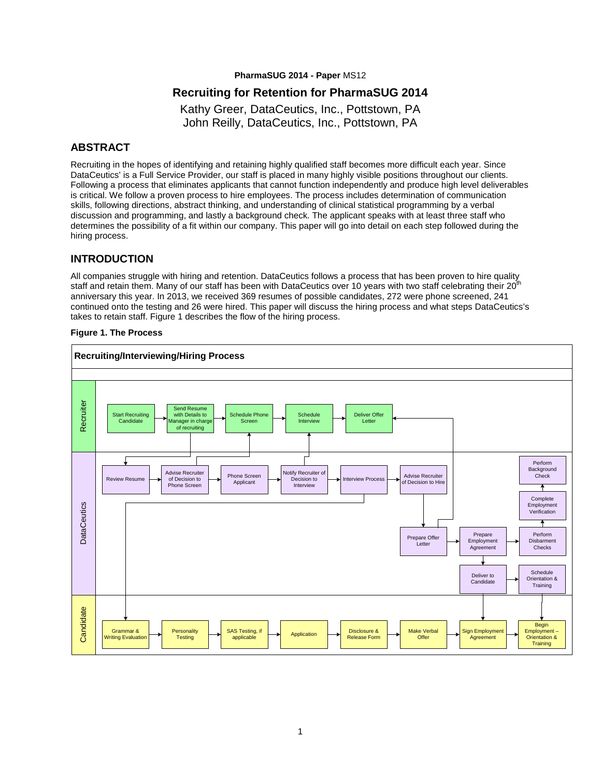**PharmaSUG 2014 - Paper** MS12

## **Recruiting for Retention for PharmaSUG 2014**

Kathy Greer, DataCeutics, Inc., Pottstown, PA John Reilly, DataCeutics, Inc., Pottstown, PA

# **ABSTRACT**

Recruiting in the hopes of identifying and retaining highly qualified staff becomes more difficult each year. Since DataCeutics' is a Full Service Provider, our staff is placed in many highly visible positions throughout our clients. Following a process that eliminates applicants that cannot function independently and produce high level deliverables is critical. We follow a proven process to hire employees. The process includes determination of communication skills, following directions, abstract thinking, and understanding of clinical statistical programming by a verbal discussion and programming, and lastly a background check. The applicant speaks with at least three staff who determines the possibility of a fit within our company. This paper will go into detail on each step followed during the hiring process.

#### **INTRODUCTION**

All companies struggle with hiring and retention. DataCeutics follows a process that has been proven to hire quality staff and retain them. Many of our staff has been with DataCeutics over 10 years with two staff celebrating their  $20^{\text{th}}$ anniversary this year. In 2013, we received 369 resumes of possible candidates, 272 were phone screened, 241 continued onto the testing and 26 were hired. This paper will discuss the hiring process and what steps DataCeutics's takes to retain staff. Figure 1 describes the flow of the hiring process.

#### **Figure 1. The Process**

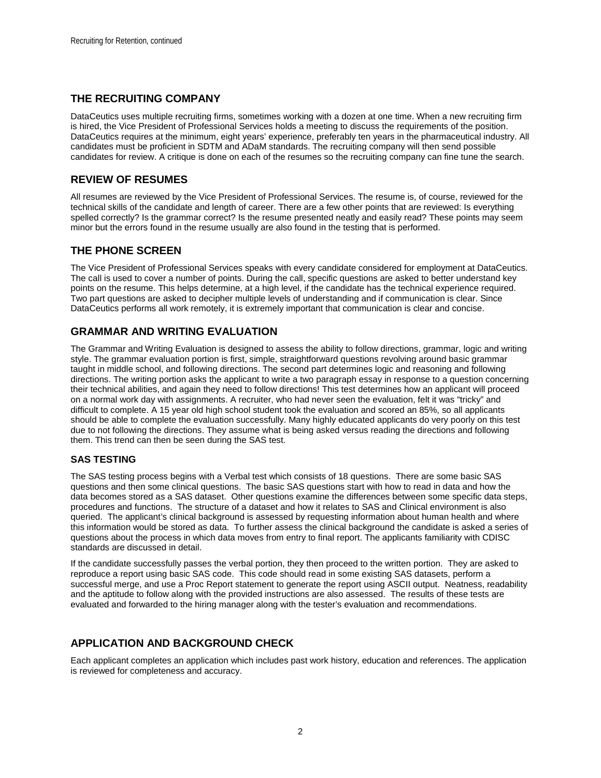## **THE RECRUITING COMPANY**

DataCeutics uses multiple recruiting firms, sometimes working with a dozen at one time. When a new recruiting firm is hired, the Vice President of Professional Services holds a meeting to discuss the requirements of the position. DataCeutics requires at the minimum, eight years' experience, preferably ten years in the pharmaceutical industry. All candidates must be proficient in SDTM and ADaM standards. The recruiting company will then send possible candidates for review. A critique is done on each of the resumes so the recruiting company can fine tune the search.

## **REVIEW OF RESUMES**

All resumes are reviewed by the Vice President of Professional Services. The resume is, of course, reviewed for the technical skills of the candidate and length of career. There are a few other points that are reviewed: Is everything spelled correctly? Is the grammar correct? Is the resume presented neatly and easily read? These points may seem minor but the errors found in the resume usually are also found in the testing that is performed.

## **THE PHONE SCREEN**

The Vice President of Professional Services speaks with every candidate considered for employment at DataCeutics. The call is used to cover a number of points. During the call, specific questions are asked to better understand key points on the resume. This helps determine, at a high level, if the candidate has the technical experience required. Two part questions are asked to decipher multiple levels of understanding and if communication is clear. Since DataCeutics performs all work remotely, it is extremely important that communication is clear and concise.

# **GRAMMAR AND WRITING EVALUATION**

The Grammar and Writing Evaluation is designed to assess the ability to follow directions, grammar, logic and writing style. The grammar evaluation portion is first, simple, straightforward questions revolving around basic grammar taught in middle school, and following directions. The second part determines logic and reasoning and following directions. The writing portion asks the applicant to write a two paragraph essay in response to a question concerning their technical abilities, and again they need to follow directions! This test determines how an applicant will proceed on a normal work day with assignments. A recruiter, who had never seen the evaluation, felt it was "tricky" and difficult to complete. A 15 year old high school student took the evaluation and scored an 85%, so all applicants should be able to complete the evaluation successfully. Many highly educated applicants do very poorly on this test due to not following the directions. They assume what is being asked versus reading the directions and following them. This trend can then be seen during the SAS test.

### **SAS TESTING**

The SAS testing process begins with a Verbal test which consists of 18 questions. There are some basic SAS questions and then some clinical questions. The basic SAS questions start with how to read in data and how the data becomes stored as a SAS dataset. Other questions examine the differences between some specific data steps, procedures and functions. The structure of a dataset and how it relates to SAS and Clinical environment is also queried. The applicant's clinical background is assessed by requesting information about human health and where this information would be stored as data. To further assess the clinical background the candidate is asked a series of questions about the process in which data moves from entry to final report. The applicants familiarity with CDISC standards are discussed in detail.

If the candidate successfully passes the verbal portion, they then proceed to the written portion. They are asked to reproduce a report using basic SAS code. This code should read in some existing SAS datasets, perform a successful merge, and use a Proc Report statement to generate the report using ASCII output. Neatness, readability and the aptitude to follow along with the provided instructions are also assessed. The results of these tests are evaluated and forwarded to the hiring manager along with the tester's evaluation and recommendations.

# **APPLICATION AND BACKGROUND CHECK**

Each applicant completes an application which includes past work history, education and references. The application is reviewed for completeness and accuracy.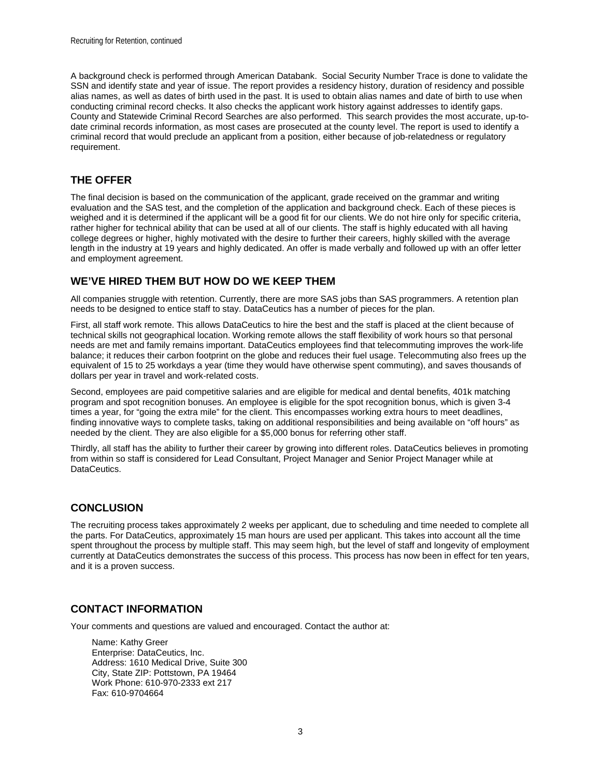A background check is performed through American Databank. Social Security Number Trace is done to validate the SSN and identify state and year of issue. The report provides a residency history, duration of residency and possible alias names, as well as dates of birth used in the past. It is used to obtain alias names and date of birth to use when conducting criminal record checks. It also checks the applicant work history against addresses to identify gaps. County and Statewide Criminal Record Searches are also performed. This search provides the most accurate, up-todate criminal records information, as most cases are prosecuted at the county level. The report is used to identify a criminal record that would preclude an applicant from a position, either because of job-relatedness or regulatory requirement.

# **THE OFFER**

The final decision is based on the communication of the applicant, grade received on the grammar and writing evaluation and the SAS test, and the completion of the application and background check. Each of these pieces is weighed and it is determined if the applicant will be a good fit for our clients. We do not hire only for specific criteria, rather higher for technical ability that can be used at all of our clients. The staff is highly educated with all having college degrees or higher, highly motivated with the desire to further their careers, highly skilled with the average length in the industry at 19 years and highly dedicated. An offer is made verbally and followed up with an offer letter and employment agreement.

# **WE'VE HIRED THEM BUT HOW DO WE KEEP THEM**

All companies struggle with retention. Currently, there are more SAS jobs than SAS programmers. A retention plan needs to be designed to entice staff to stay. DataCeutics has a number of pieces for the plan.

First, all staff work remote. This allows DataCeutics to hire the best and the staff is placed at the client because of technical skills not geographical location. Working remote allows the staff flexibility of work hours so that personal needs are met and family remains important. DataCeutics employees find that telecommuting improves the work-life balance; it reduces their carbon footprint on the globe and reduces their fuel usage. Telecommuting also frees up the equivalent of 15 to 25 workdays a year (time they would have otherwise spent commuting), and saves thousands of dollars per year in travel and work-related costs.

Second, employees are paid competitive salaries and are eligible for medical and dental benefits, 401k matching program and spot recognition bonuses. An employee is eligible for the spot recognition bonus, which is given 3-4 times a year, for "going the extra mile" for the client. This encompasses working extra hours to meet deadlines, finding innovative ways to complete tasks, taking on additional responsibilities and being available on "off hours" as needed by the client. They are also eligible for a \$5,000 bonus for referring other staff.

Thirdly, all staff has the ability to further their career by growing into different roles. DataCeutics believes in promoting from within so staff is considered for Lead Consultant, Project Manager and Senior Project Manager while at DataCeutics.

### **CONCLUSION**

The recruiting process takes approximately 2 weeks per applicant, due to scheduling and time needed to complete all the parts. For DataCeutics, approximately 15 man hours are used per applicant. This takes into account all the time spent throughout the process by multiple staff. This may seem high, but the level of staff and longevity of employment currently at DataCeutics demonstrates the success of this process. This process has now been in effect for ten years, and it is a proven success.

### **CONTACT INFORMATION**

Your comments and questions are valued and encouraged. Contact the author at:

Name: Kathy Greer Enterprise: DataCeutics, Inc. Address: 1610 Medical Drive, Suite 300 City, State ZIP: Pottstown, PA 19464 Work Phone: 610-970-2333 ext 217 Fax: 610-9704664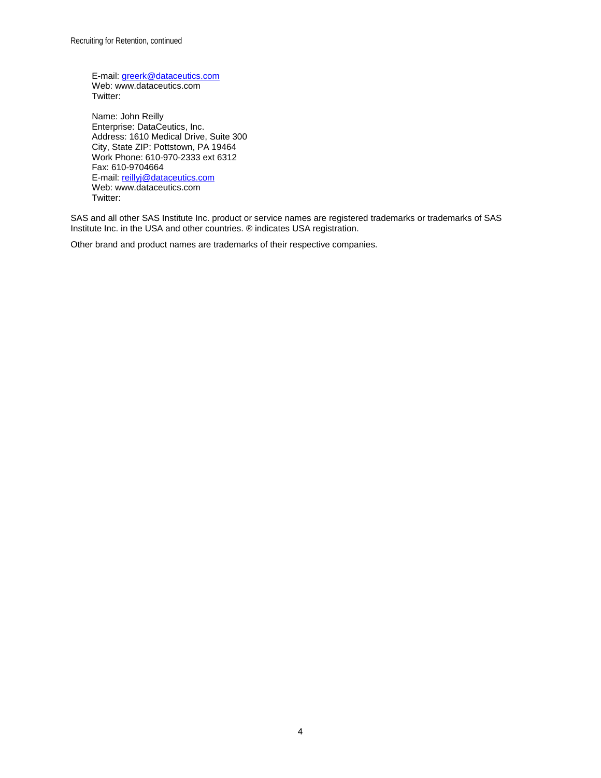E-mail: [greerk@dataceutics.com](mailto:greerk@dataceutics.com) Web: www.dataceutics.com Twitter:

Name: John Reilly Enterprise: DataCeutics, Inc. Address: 1610 Medical Drive, Suite 300 City, State ZIP: Pottstown, PA 19464 Work Phone: 610-970-2333 ext 6312 Fax: 610-9704664 E-mail: [reillyj@dataceutics.com](mailto:reillyj@dataceutics.com) Web: www.dataceutics.com Twitter:

SAS and all other SAS Institute Inc. product or service names are registered trademarks or trademarks of SAS Institute Inc. in the USA and other countries. ® indicates USA registration.

Other brand and product names are trademarks of their respective companies.